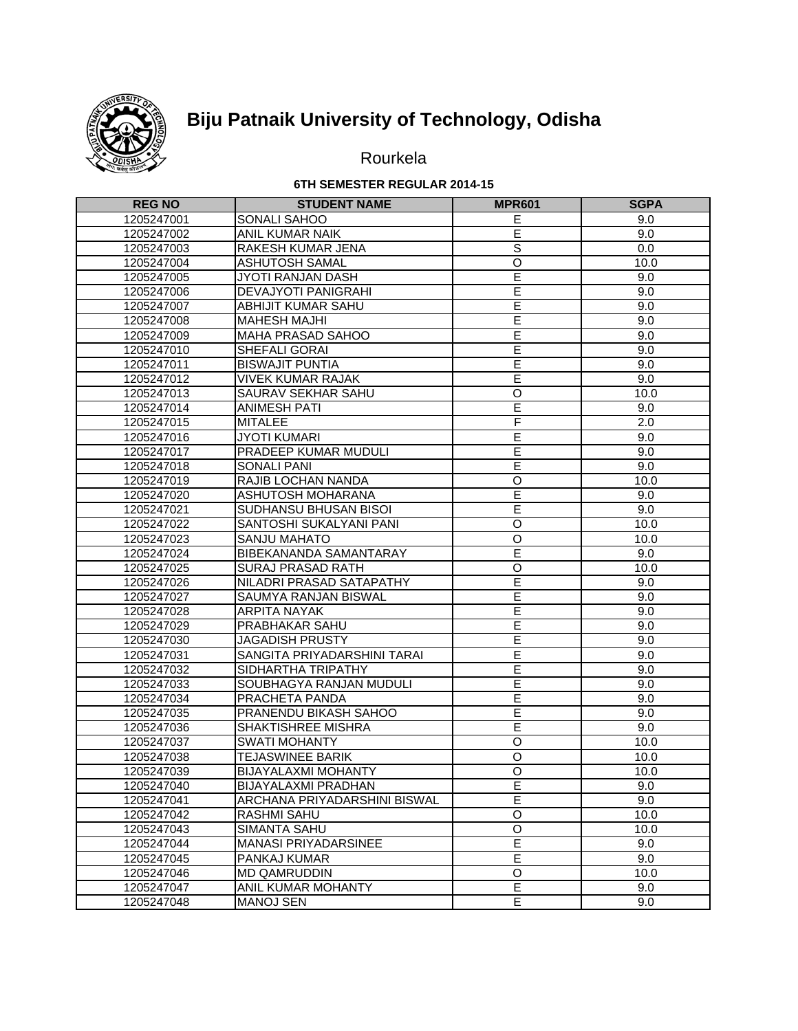

# **Biju Patnaik University of Technology, Odisha**

## Rourkela

#### **6TH SEMESTER REGULAR 2014-15**

| <b>REG NO</b> | <b>STUDENT NAME</b>          | <b>MPR601</b>           | <b>SGPA</b>      |
|---------------|------------------------------|-------------------------|------------------|
| 1205247001    | SONALI SAHOO                 | Ε                       | 9.0              |
| 1205247002    | ANIL KUMAR NAIK              | E                       | 9.0              |
| 1205247003    | RAKESH KUMAR JENA            | $\overline{s}$          | 0.0              |
| 1205247004    | <b>ASHUTOSH SAMAL</b>        | $\overline{0}$          | 10.0             |
| 1205247005    | JYOTI RANJAN DASH            | Ē                       | 9.0              |
| 1205247006    | <b>DEVAJYOTI PANIGRAHI</b>   | Ē                       | 9.0              |
| 1205247007    | ABHIJIT KUMAR SAHU           | E                       | 9.0              |
| 1205247008    | <b>MAHESH MAJHI</b>          | Ē                       | 9.0              |
| 1205247009    | MAHA PRASAD SAHOO            | E                       | 9.0              |
| 1205247010    | SHEFALI GORAI                | Έ                       | 9.0              |
| 1205247011    | <b>BISWAJIT PUNTIA</b>       | Ē                       | 9.0              |
| 1205247012    | <b>VIVEK KUMAR RAJAK</b>     | Ē                       | 9.0              |
| 1205247013    | SAURAV SEKHAR SAHU           | $\circ$                 | 10.0             |
| 1205247014    | <b>ANIMESH PATI</b>          | Έ                       | 9.0              |
| 1205247015    | <b>MITALEE</b>               | F                       | $\overline{2.0}$ |
| 1205247016    | <b>JYOTI KUMARI</b>          | E                       | 9.0              |
| 1205247017    | PRADEEP KUMAR MUDULI         | Ē                       | 9.0              |
| 1205247018    | <b>SONALI PANI</b>           | Ē                       | 9.0              |
| 1205247019    | RAJIB LOCHAN NANDA           | $\overline{O}$          | 10.0             |
| 1205247020    | ASHUTOSH MOHARANA            | Ē                       | 9.0              |
| 1205247021    | SUDHANSU BHUSAN BISOI        | Ē                       | 9.0              |
| 1205247022    | SANTOSHI SUKALYANI PANI      | $\circ$                 | 10.0             |
| 1205247023    | <b>SANJU MAHATO</b>          | $\overline{O}$          | 10.0             |
| 1205247024    | BIBEKANANDA SAMANTARAY       | Ē                       | 9.0              |
| 1205247025    | <b>SURAJ PRASAD RATH</b>     | $\overline{O}$          | 10.0             |
| 1205247026    | NILADRI PRASAD SATAPATHY     | Ē                       | 9.0              |
| 1205247027    | <b>SAUMYA RANJAN BISWAL</b>  | E                       | 9.0              |
| 1205247028    | <b>ARPITA NAYAK</b>          | Ē                       | 9.0              |
| 1205247029    | PRABHAKAR SAHU               | E                       | 9.0              |
| 1205247030    | <b>JAGADISH PRUSTY</b>       | E                       | 9.0              |
| 1205247031    | SANGITA PRIYADARSHINI TARAI  | E                       | 9.0              |
| 1205247032    | SIDHARTHA TRIPATHY           | Ē                       | 9.0              |
| 1205247033    | SOUBHAGYA RANJAN MUDULI      | Ē                       | 9.0              |
| 1205247034    | PRACHETA PANDA               | Ē                       | 9.0              |
| 1205247035    | PRANENDU BIKASH SAHOO        | Ē                       | 9.0              |
| 1205247036    | SHAKTISHREE MISHRA           | Ē                       | 9.0              |
| 1205247037    | <b>SWATI MOHANTY</b>         | $\circ$                 | 10.0             |
| 1205247038    | <b>TEJASWINEE BARIK</b>      | $\circ$                 | 10.0             |
| 1205247039    | <b>BIJAYALAXMI MOHANTY</b>   | $\overline{O}$          | 10.0             |
| 1205247040    | <b>BIJAYALAXMI PRADHAN</b>   | $\overline{\mathsf{E}}$ | 9.0              |
| 1205247041    | ARCHANA PRIYADARSHINI BISWAL | E                       | 9.0              |
| 1205247042    | <b>RASHMI SAHU</b>           | O                       | 10.0             |
| 1205247043    | <b>SIMANTA SAHU</b>          | $\overline{O}$          | 10.0             |
| 1205247044    | <b>MANASI PRIYADARSINEE</b>  | Ε                       | 9.0              |
| 1205247045    | PANKAJ KUMAR                 | E                       | 9.0              |
| 1205247046    | <b>MD QAMRUDDIN</b>          | O                       | 10.0             |
| 1205247047    | ANIL KUMAR MOHANTY           | E                       | 9.0              |
| 1205247048    | <b>MANOJ SEN</b>             | E                       | 9.0              |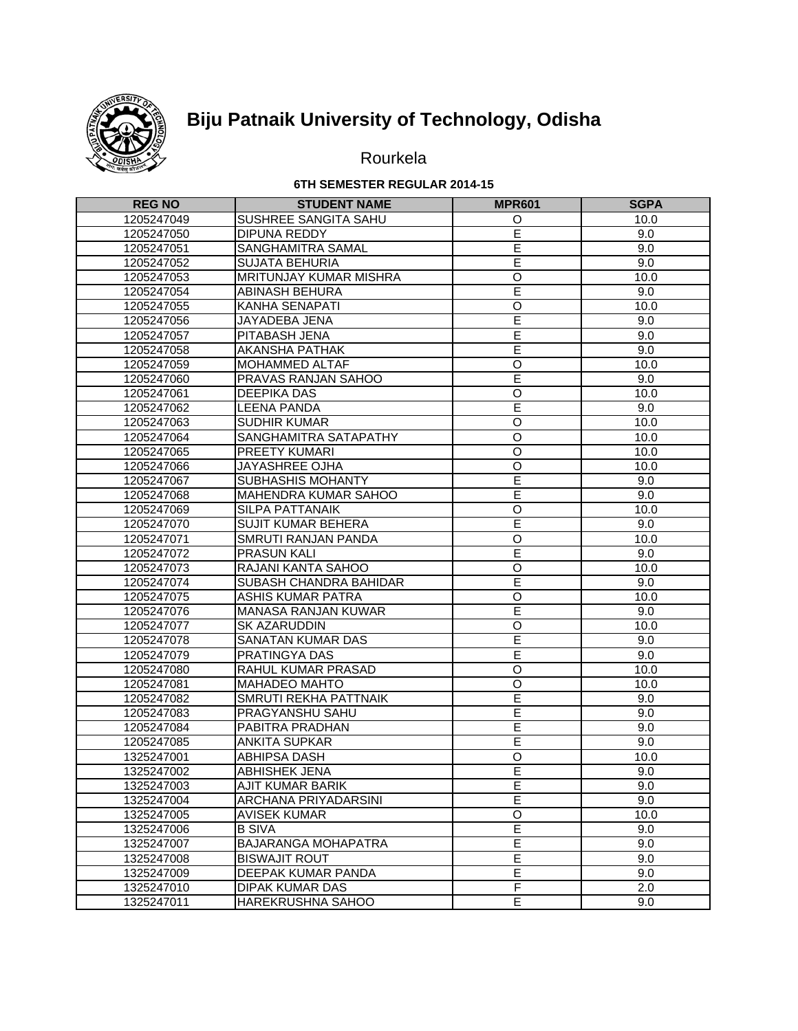

# **Biju Patnaik University of Technology, Odisha**

## Rourkela

#### **6TH SEMESTER REGULAR 2014-15**

| <b>REG NO</b> | <b>STUDENT NAME</b>        | <b>MPR601</b>      | <b>SGPA</b> |
|---------------|----------------------------|--------------------|-------------|
| 1205247049    | SUSHREE SANGITA SAHU       | O                  | 10.0        |
| 1205247050    | DIPUNA REDDY               | Ē                  | 9.0         |
| 1205247051    | SANGHAMITRA SAMAL          | $\overline{E}$     | 9.0         |
| 1205247052    | <b>SUJATA BEHURIA</b>      | Ē                  | 9.0         |
| 1205247053    | MRITUNJAY KUMAR MISHRA     | $\overline{O}$     | 10.0        |
| 1205247054    | ABINASH BEHURA             | E                  | 9.0         |
| 1205247055    | KANHA SENAPATI             | O                  | 10.0        |
| 1205247056    | JAYADEBA JENA              | Ē                  | 9.0         |
| 1205247057    | PITABASH JENA              | E                  | 9.0         |
| 1205247058    | AKANSHA PATHAK             | Ē                  | 9.0         |
| 1205247059    | MOHAMMED ALTAF             | $\overline{O}$     | 10.0        |
| 1205247060    | PRAVAS RANJAN SAHOO        | Ē                  | 9.0         |
| 1205247061    | <b>DEEPIKA DAS</b>         | $\overline{0}$     | 10.0        |
| 1205247062    | <b>LEENA PANDA</b>         | Ē                  | 9.0         |
| 1205247063    | <b>SUDHIR KUMAR</b>        | $\overline{\circ}$ | 10.0        |
| 1205247064    | SANGHAMITRA SATAPATHY      | $\circ$            | 10.0        |
| 1205247065    | PREETY KUMARI              | $\circ$            | 10.0        |
| 1205247066    | JAYASHREE OJHA             | $\circ$            | 10.0        |
| 1205247067    | SUBHASHIS MOHANTY          | E                  | 9.0         |
| 1205247068    | MAHENDRA KUMAR SAHOO       | Ē                  | 9.0         |
| 1205247069    | SILPA PATTANAIK            | O                  | 10.0        |
| 1205247070    | SUJIT KUMAR BEHERA         | Ē                  | 9.0         |
| 1205247071    | SMRUTI RANJAN PANDA        | $\overline{O}$     | 10.0        |
| 1205247072    | <b>PRASUN KALI</b>         | Ē                  | 9.0         |
| 1205247073    | RAJANI KANTA SAHOO         | $\overline{O}$     | 10.0        |
| 1205247074    | SUBASH CHANDRA BAHIDAR     | Ē                  | 9.0         |
| 1205247075    | <b>ASHIS KUMAR PATRA</b>   | $\overline{O}$     | 10.0        |
| 1205247076    | <b>MANASA RANJAN KUWAR</b> | Ē                  | 9.0         |
| 1205247077    | SK AZARUDDIN               | $\overline{O}$     | 10.0        |
| 1205247078    | SANATAN KUMAR DAS          | E                  | 9.0         |
| 1205247079    | PRATINGYA DAS              | E                  | 9.0         |
| 1205247080    | RAHUL KUMAR PRASAD         | $\overline{0}$     | 10.0        |
| 1205247081    | <b>MAHADEO MAHTO</b>       | $\overline{O}$     | 10.0        |
| 1205247082    | SMRUTI REKHA PATTNAIK      | Ē                  | 9.0         |
| 1205247083    | PRAGYANSHU SAHU            | Έ                  | 9.0         |
| 1205247084    | PABITRA PRADHAN            | E                  | 9.0         |
| 1205247085    | <b>ANKITA SUPKAR</b>       | E                  | 9.0         |
| 1325247001    | ABHIPSA DASH               | O                  | 10.0        |
| 1325247002    | <b>ABHISHEK JENA</b>       | E                  | 9.0         |
| 1325247003    | AJIT KUMAR BARIK           | Ē                  | 9.0         |
| 1325247004    | ARCHANA PRIYADARSINI       | E                  | 9.0         |
| 1325247005    | <b>AVISEK KUMAR</b>        | $\mathsf O$        | 10.0        |
| 1325247006    | <b>B SIVA</b>              | $\overline{E}$     | 9.0         |
| 1325247007    | BAJARANGA MOHAPATRA        | E                  | 9.0         |
| 1325247008    | <b>BISWAJIT ROUT</b>       | E                  | 9.0         |
| 1325247009    | DEEPAK KUMAR PANDA         | E                  | 9.0         |
| 1325247010    | <b>DIPAK KUMAR DAS</b>     | F                  | 2.0         |
| 1325247011    | HAREKRUSHNA SAHOO          | E                  | 9.0         |